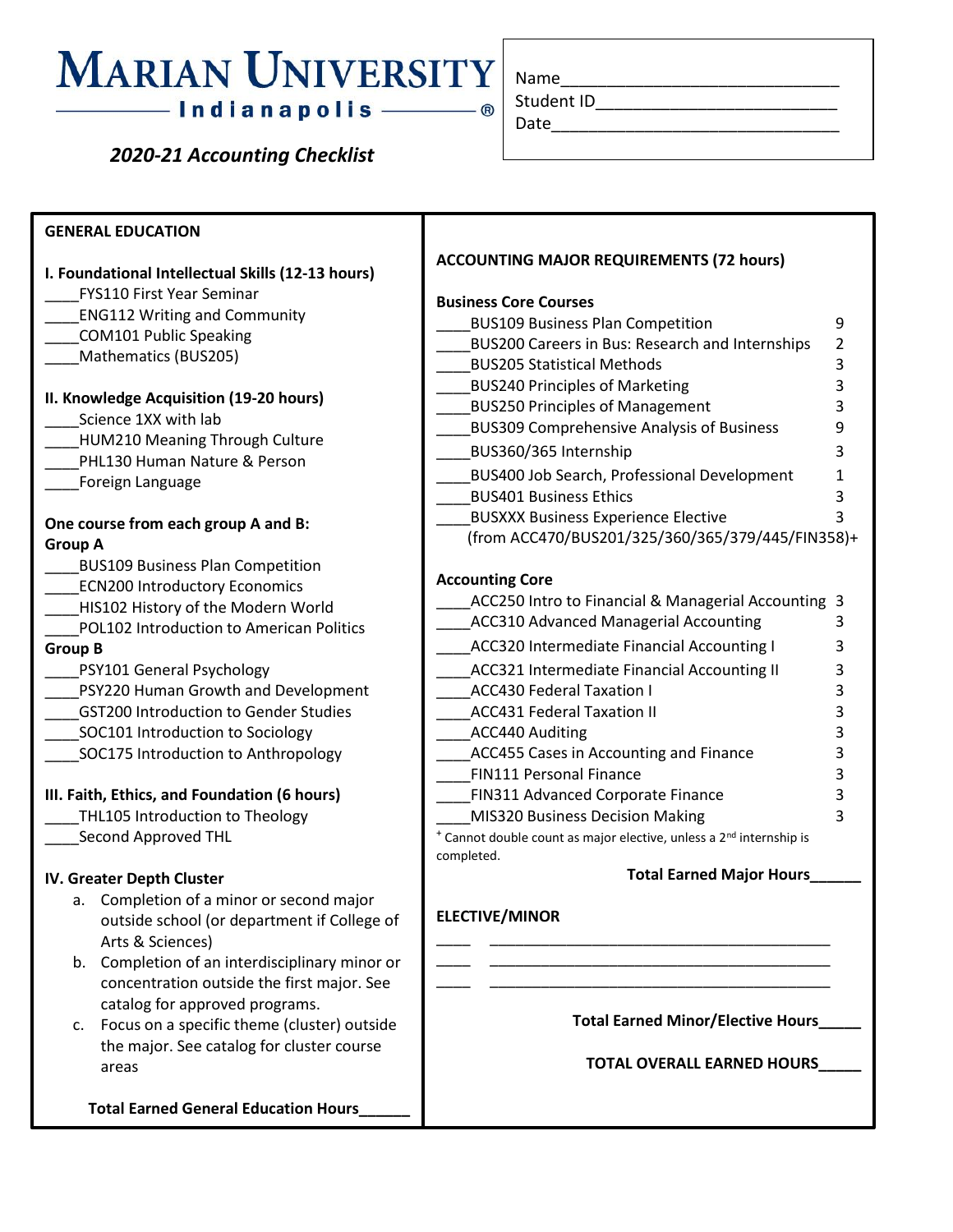## **MARIAN UNIVERSITY** —— Indianapolis ——

 *2020-21 Accounting Checklist*

| Name       |  |  |
|------------|--|--|
| Student ID |  |  |
| Date       |  |  |

**GENERAL EDUCATION I. Foundational Intellectual Skills (12-13 hours)** \_\_\_\_FYS110 First Year Seminar \_\_\_\_ENG112 Writing and Community \_\_\_\_COM101 Public Speaking Mathematics (BUS205) **II. Knowledge Acquisition (19-20 hours)** Science 1XX with lab \_\_\_\_HUM210 Meaning Through Culture PHL130 Human Nature & Person \_\_\_\_Foreign Language **One course from each group A and B: Group A** \_\_\_\_BUS109 Business Plan Competition ECN200 Introductory Economics HIS102 History of the Modern World \_\_\_\_POL102 Introduction to American Politics **Group B** \_\_\_\_PSY101 General Psychology \_\_\_\_PSY220 Human Growth and Development \_\_\_\_GST200 Introduction to Gender Studies SOC101 Introduction to Sociology SOC175 Introduction to Anthropology **III. Faith, Ethics, and Foundation (6 hours)** THL105 Introduction to Theology \_\_\_\_Second Approved THL **IV. Greater Depth Cluster** a. Completion of a minor or second major outside school (or department if College of Arts & Sciences) b. Completion of an interdisciplinary minor or concentration outside the first major. See catalog for approved programs. c. Focus on a specific theme (cluster) outside the major. See catalog for cluster course areas  **Total Earned General Education Hours\_\_\_\_\_\_ ACCOUNTING MAJOR REQUIREMENTS (72 hours) Business Core Courses** \_\_\_\_BUS109 Business Plan Competition 9 BUS200 Careers in Bus: Research and Internships 2 \_\_\_\_BUS205 Statistical Methods 3 \_\_\_\_BUS240 Principles of Marketing 3 \_\_\_\_BUS250 Principles of Management 3 \_\_\_\_BUS309 Comprehensive Analysis of Business 9 \_\_\_\_BUS360/365 Internship 3 BUS400 Job Search, Professional Development 1 BUS401 Business Ethics 3 BUSXXX Business Experience Elective 3 (from ACC470/BUS201/325/360/365/379/445/FIN358)+ **Accounting Core** ACC250 Intro to Financial & Managerial Accounting 3 \_\_\_\_ACC310 Advanced Managerial Accounting 3 ACC320 Intermediate Financial Accounting I 3 ACC321 Intermediate Financial Accounting II 3 ACC430 Federal Taxation I 3 ACC431 Federal Taxation II 3 ACC440 Auditing 3 ACC455 Cases in Accounting and Finance 3 FIN111 Personal Finance 3 \_\_\_\_FIN311 Advanced Corporate Finance 3 \_\_\_\_MIS320 Business Decision Making 3 <sup>+</sup> Cannot double count as major elective, unless a 2<sup>nd</sup> internship is completed. **Total Earned Major Hours\_\_\_\_\_\_ ELECTIVE/MINOR** \_\_\_\_ \_\_\_\_\_\_\_\_\_\_\_\_\_\_\_\_\_\_\_\_\_\_\_\_\_\_\_\_\_\_\_\_\_\_\_\_\_\_\_\_ \_\_\_\_ \_\_\_\_\_\_\_\_\_\_\_\_\_\_\_\_\_\_\_\_\_\_\_\_\_\_\_\_\_\_\_\_\_\_\_\_\_\_\_\_ \_\_\_\_ \_\_\_\_\_\_\_\_\_\_\_\_\_\_\_\_\_\_\_\_\_\_\_\_\_\_\_\_\_\_\_\_\_\_\_\_\_\_\_\_ **Total Earned Minor/Elective Hours\_\_\_\_\_ TOTAL OVERALL EARNED HOURS\_\_\_\_\_**